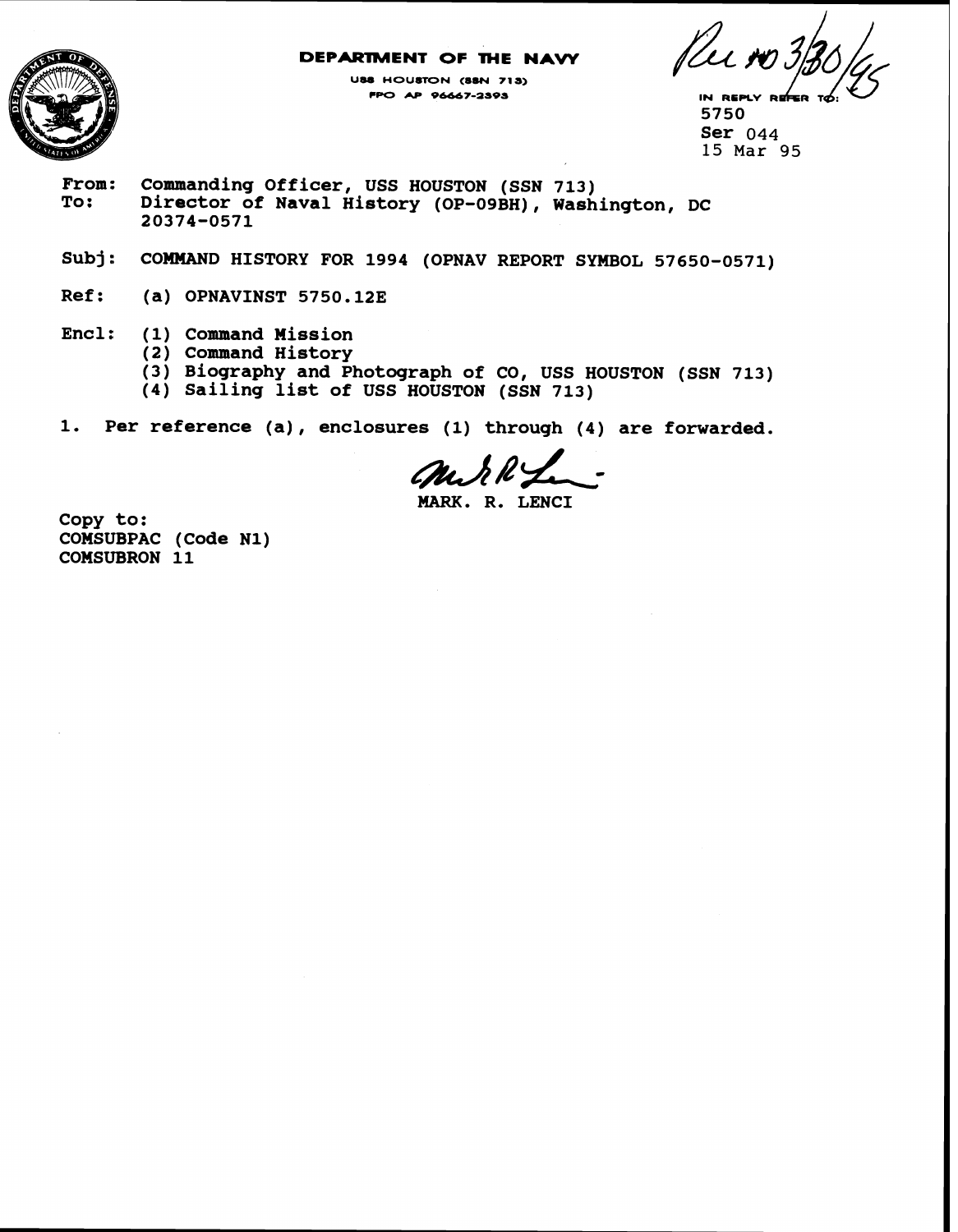### **DEPARTMENT OF THE NAVY**



**USS HOUSTON (SSN 718) PPO AP 96667-as95** 

**5750 Ser 044 15 Mar** 95

- **From: Commanding Officer, USS HOUSTON (SSN 713) To: Director of Naval History (OP-OSBH), Washington, DC 20374-0571**
- **Subj: COMMAND HISTORY FOR 1994 (OPNAV REPORT SYMBOL 57650-0571)**
- **Ref: (a) OPNAVINST 5750.123**
- **Encl: (1) Command Hission** 
	- **(2) Command History**
	- **(3) Biography and Photograph of CO, USS HOUSTON (SSN 713)**
	- **(4) Sailing list of USS HOUSTON (SSN 713)**
- **1. Per reference (a)** , **enclosures (1) through (4) are forwarded.**

**MARK. R. LENCI** 

**Copy to: COMSUBPAC (Code N1) COMSUBRON 11**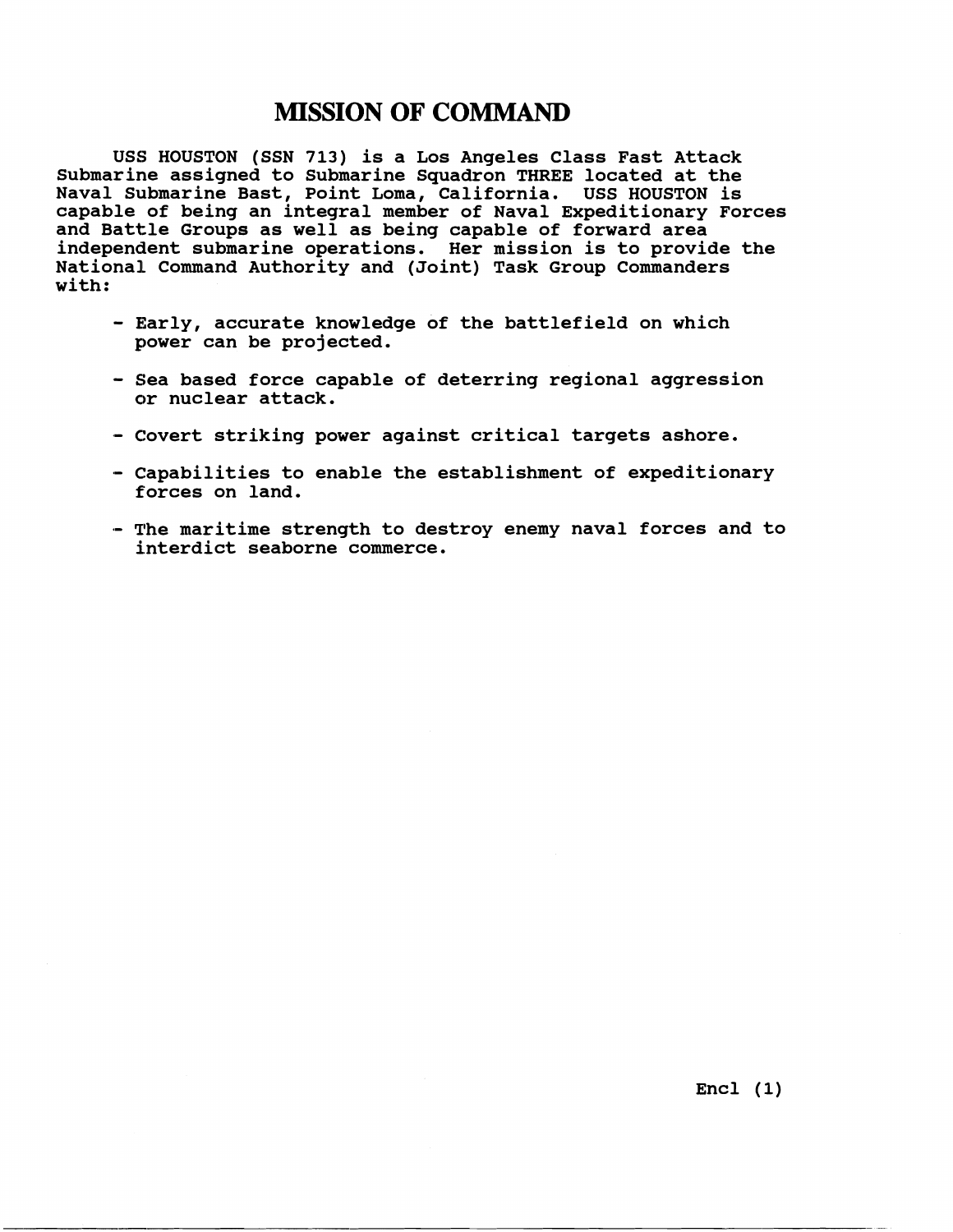## **MISSION OF COMMAND**

**USS HOUSTON (SSN 713) is a Los Angeles Class Fast Attack Submarine assigned to Submarine Squadron THREE located at the Naval Submarine Bast, Point Loma, California. USS HOUSTON is capable of being an integral member of Naval Expeditionary Forces and Battle Groups as well as being capable of forward area independent submarine operations. Her mission is to provide the National Command Authority and (Joint) Task Group Commanders with:** 

- **Early, accurate knowledge of the battlefield on which power can be projected.**
- **Sea based force capable of deterring regional aggression or nuclear attack.**
- **Covert striking power against critical targets ashore.**
- **Capabilities to enable the establishment of expeditionary forces on land.**
- .- **The maritime strength to destroy enemy naval forces and to interdict seaborne commerce.**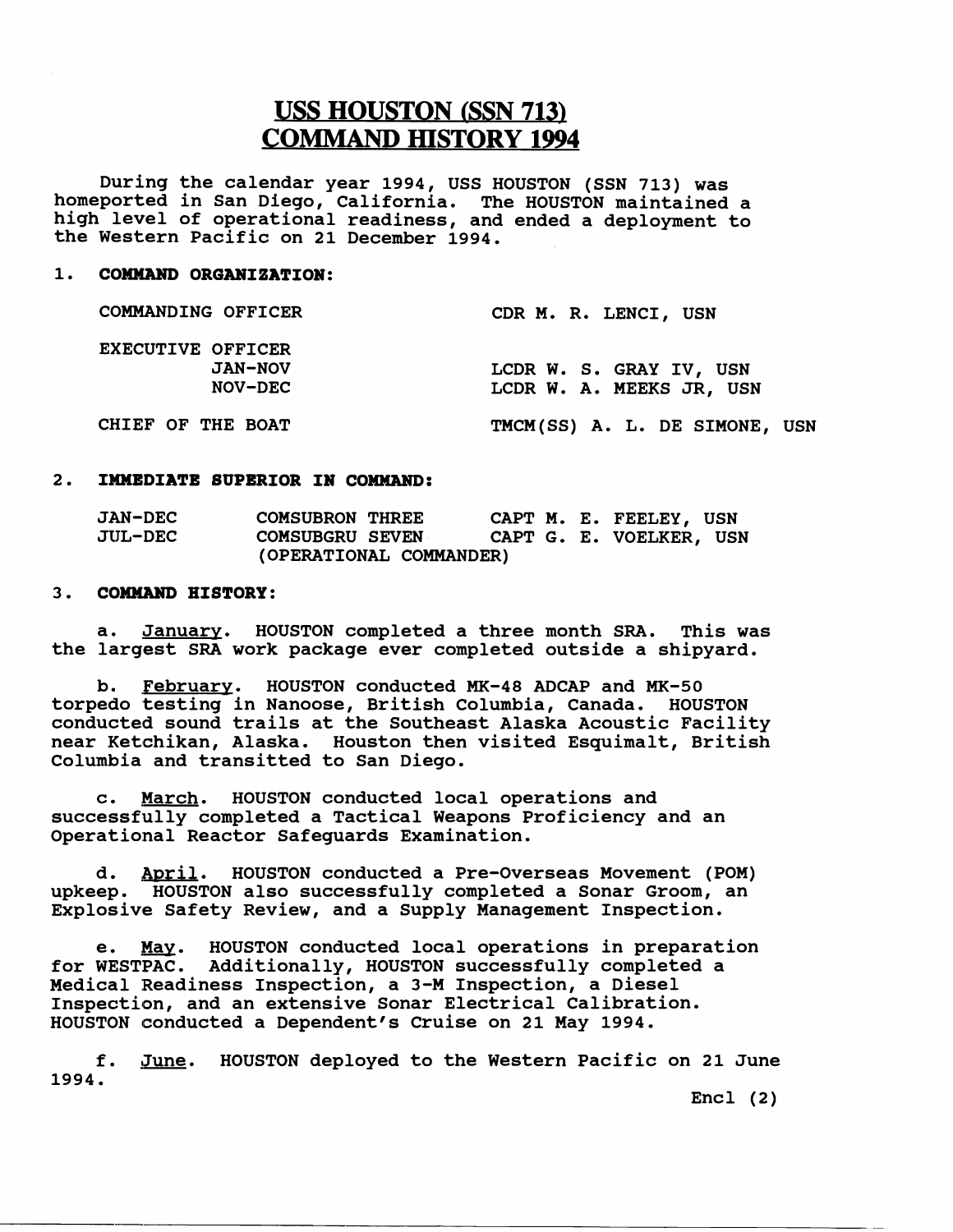# **USS HOUSTON (SSN 713) COMMAND HISTORY 1994**

**During the calendar year 1994, USS HOUSTON (SSN 713) was homeported in San Diego, California. The HOUSTON maintained a high level of operational readiness, and ended a deployment to the Western Pacific on 21 December 1994.** 

### **1. COMMAND ORGANIZATION:**

| <b>COMMANDING OFFICER</b> | CDR M. R. LENCI, USN          |
|---------------------------|-------------------------------|
| EXECUTIVE OFFICER         |                               |
| <b>JAN-NOV</b>            | LCDR W. S. GRAY IV, USN       |
| NOV-DEC                   | LCDR W. A. MEEKS JR, USN      |
| CHIEF OF THE BOAT         | TMCM(SS) A. L. DE SIMONE, USN |

#### **2. IMMEDIATE SUPERIOR IN COMMAND:**

| <b>JAN-DEC</b>          | <b>COMSUBRON THREE</b> |  |  |  |  | CAPT M. E. FEELEY, USN  |  |
|-------------------------|------------------------|--|--|--|--|-------------------------|--|
| <b>JUL-DEC</b>          | <b>COMSUBGRU SEVEN</b> |  |  |  |  | CAPT G. E. VOELKER, USN |  |
| (OPERATIONAL COMMANDER) |                        |  |  |  |  |                         |  |

#### **3. COMNAND HISTORY:**

**a. January. HOUSTON completed a three month SRA. This was the largest SRA work package ever completed outside a shipyard.** 

**b. Februarv. HOUSTON conducted MK-48 ADCAP and MK-50 torpedo testing in Nanoose, British Columbia, Canada. HOUSTON conducted sound trails at the Southeast Alaska Acoustic Facility near Ketchikan, Alaska. Houston then visited Esquimalt, British Columbia and transitted to San Diego.** 

**c. March. HOUSTON conducted local operations and successfully completed a Tactical Weapons Proficiency and an Operational Reactor Safeguards Examination.** 

**d. Jmril. HOUSTON conducted a Pre-Overseas Movement (POM) upkeep. HOUSTON also successfully completed a Sonar Groom, an Explosive Safety Review, and a Supply Management Inspection.** 

**e.** *m.* **HOUSTON conducted local operations in preparation for WESTPAC. Additionally, HOUSTON successfully completed a**  Medical Readiness Inspection, a 3-M Inspection, a Diesel Inspection, and an extensive Sonar Electrical Calibration. **HOUSTON conducted a Dependent's Cruise on 21 May 1994.** 

**f. June. HOUSTON deployed to the Western Pacific on 21 June 1994.** 

**Encl (2)**